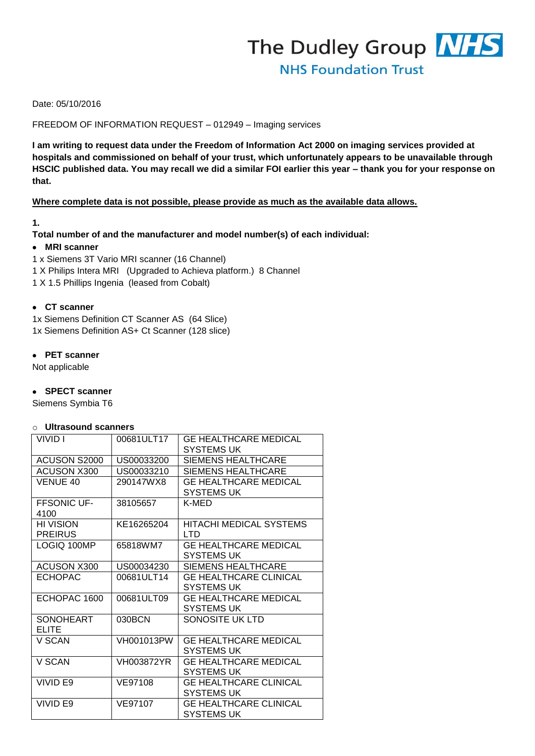

## Date: 05/10/2016

### FREEDOM OF INFORMATION REQUEST – 012949 – Imaging services

**I am writing to request data under the Freedom of Information Act 2000 on imaging services provided at hospitals and commissioned on behalf of your trust, which unfortunately appears to be unavailable through HSCIC published data. You may recall we did a similar FOI earlier this year – thank you for your response on that.**

#### **Where complete data is not possible, please provide as much as the available data allows.**

### **1.**

### **Total number of and the manufacturer and model number(s) of each individual:**

### **MRI scanner**

- 1 x Siemens 3T Vario MRI scanner (16 Channel)
- 1 X Philips Intera MRI (Upgraded to Achieva platform.) 8 Channel
- 1 X 1.5 Phillips Ingenia (leased from Cobalt)

#### **CT scanner**

1x Siemens Definition CT Scanner AS (64 Slice) 1x Siemens Definition AS+ Ct Scanner (128 slice)

### **PET scanner**

Not applicable

## **SPECT scanner**

Siemens Symbia T6

### o **Ultrasound scanners**

| VIVID I                     | 00681ULT17 | <b>GE HEALTHCARE MEDICAL</b><br><b>SYSTEMS UK</b>  |  |  |  |  |  |
|-----------------------------|------------|----------------------------------------------------|--|--|--|--|--|
| ACUSON S2000                | US00033200 | <b>SIEMENS HEALTHCARE</b>                          |  |  |  |  |  |
| ACUSON X300                 | US00033210 | SIEMENS HEALTHCARE                                 |  |  |  |  |  |
| VENUE 40                    | 290147WX8  | <b>GE HEALTHCARE MEDICAL</b><br><b>SYSTEMS UK</b>  |  |  |  |  |  |
| <b>FFSONIC UF-</b><br>4100  | 38105657   | K-MED                                              |  |  |  |  |  |
| HI VISION<br><b>PREIRUS</b> | KE16265204 | <b>HITACHI MEDICAL SYSTEMS</b><br>חד ו             |  |  |  |  |  |
| LOGIQ 100MP                 | 65818WM7   | <b>GE HEALTHCARE MEDICAL</b><br><b>SYSTEMS UK</b>  |  |  |  |  |  |
| <b>ACUSON X300</b>          | US00034230 | <b>SIEMENS HEALTHCARE</b>                          |  |  |  |  |  |
| <b>ECHOPAC</b>              | 00681ULT14 | <b>GE HEALTHCARE CLINICAL</b><br>SYSTEMS UK        |  |  |  |  |  |
| ECHOPAC 1600                | 00681ULT09 | <b>GE HEALTHCARE MEDICAL</b><br>SYSTEMS UK         |  |  |  |  |  |
| <b>SONOHEART</b><br>ELITE   | 030BCN     | SONOSITE UK LTD                                    |  |  |  |  |  |
| V SCAN                      | VH001013PW | <b>GE HEALTHCARE MEDICAL</b><br><b>SYSTEMS UK</b>  |  |  |  |  |  |
| V SCAN                      | VH003872YR | <b>GE HEALTHCARE MEDICAL</b><br><b>SYSTEMS UK</b>  |  |  |  |  |  |
| <b>VIVID E9</b>             | VE97108    | <b>GE HEALTHCARE CLINICAL</b><br>SYSTEMS UK        |  |  |  |  |  |
| VIVID E9                    | VE97107    | <b>GE HEALTHCARE CLINICAL</b><br><b>SYSTEMS UK</b> |  |  |  |  |  |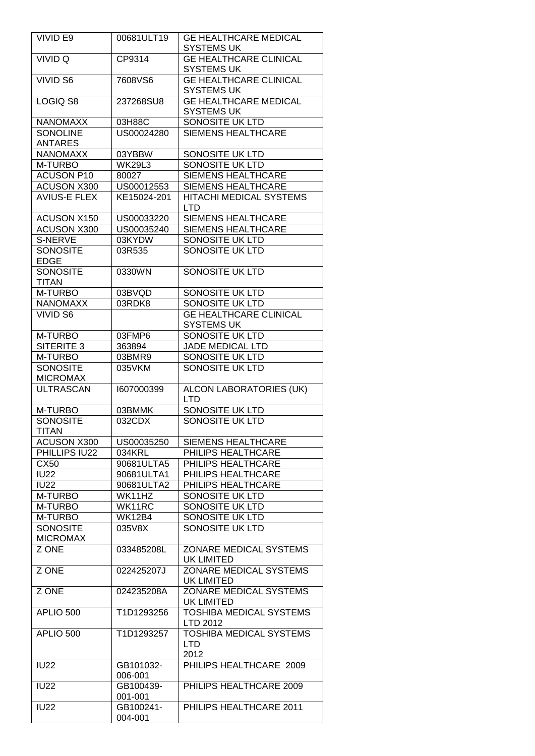| <b>VIVID E9</b>                    | 00681ULT19                        | <b>GE HEALTHCARE MEDICAL</b><br><b>SYSTEMS UK</b>           |  |  |  |  |  |
|------------------------------------|-----------------------------------|-------------------------------------------------------------|--|--|--|--|--|
| VIVID Q                            | CP9314                            | <b>GE HEALTHCARE CLINICAL</b>                               |  |  |  |  |  |
|                                    |                                   | SYSTEMS UK                                                  |  |  |  |  |  |
| <b>VIVID S6</b>                    | 7608VS6                           | <b>GE HEALTHCARE CLINICAL</b>                               |  |  |  |  |  |
|                                    |                                   | SYSTEMS UK                                                  |  |  |  |  |  |
| LOGIQ S8                           | 237268SU8                         | <b>GE HEALTHCARE MEDICAL</b>                                |  |  |  |  |  |
|                                    |                                   | <b>SYSTEMS UK</b>                                           |  |  |  |  |  |
| <b>NANOMAXX</b>                    | 03H88C                            | SONOSITE UK LTD                                             |  |  |  |  |  |
| <b>SONOLINE</b>                    | US00024280                        | <b>SIEMENS HEALTHCARE</b>                                   |  |  |  |  |  |
| <b>ANTARES</b>                     |                                   |                                                             |  |  |  |  |  |
| <b>NANOMAXX</b>                    | 03YBBW                            | SONOSITE UK LTD                                             |  |  |  |  |  |
| M-TURBO                            | <b>WK29L3</b>                     | SONOSITE UK LTD                                             |  |  |  |  |  |
| <b>ACUSON P10</b>                  | 80027                             | <b>SIEMENS HEALTHCARE</b>                                   |  |  |  |  |  |
|                                    |                                   |                                                             |  |  |  |  |  |
| ACUSON X300<br><b>AVIUS-E FLEX</b> | US00012553                        | <b>SIEMENS HEALTHCARE</b><br><b>HITACHI MEDICAL SYSTEMS</b> |  |  |  |  |  |
|                                    | KE15024-201                       |                                                             |  |  |  |  |  |
|                                    |                                   | <b>LTD</b><br><b>SIEMENS HEALTHCARE</b>                     |  |  |  |  |  |
| ACUSON X150                        | US00033220                        |                                                             |  |  |  |  |  |
| <b>ACUSON X300</b>                 | US00035240                        | <b>SIEMENS HEALTHCARE</b>                                   |  |  |  |  |  |
| S-NERVE                            | 03KYDW                            | SONOSITE UK LTD                                             |  |  |  |  |  |
| <b>SONOSITE</b>                    | 03R535                            | <b>SONOSITE UK LTD</b>                                      |  |  |  |  |  |
| <b>EDGE</b>                        |                                   |                                                             |  |  |  |  |  |
| <b>SONOSITE</b>                    | 0330WN                            | <b>SONOSITE UK LTD</b>                                      |  |  |  |  |  |
| <b>TITAN</b>                       |                                   |                                                             |  |  |  |  |  |
| M-TURBO                            | 03BVQD                            | SONOSITE UK LTD                                             |  |  |  |  |  |
| <b>NANOMAXX</b>                    | 03RDK8                            | SONOSITE UK LTD                                             |  |  |  |  |  |
| <b>VIVID S6</b>                    |                                   | <b>GE HEALTHCARE CLINICAL</b>                               |  |  |  |  |  |
|                                    |                                   | <b>SYSTEMS UK</b>                                           |  |  |  |  |  |
| M-TURBO                            | 03FMP6                            | SONOSITE UK LTD                                             |  |  |  |  |  |
| <b>SITERITE 3</b>                  | 363894                            | <b>JADE MEDICAL LTD</b>                                     |  |  |  |  |  |
| M-TURBO                            | 03BMR9                            | SONOSITE UK LTD                                             |  |  |  |  |  |
| <b>SONOSITE</b>                    | 035VKM                            | SONOSITE UK LTD                                             |  |  |  |  |  |
| <b>MICROMAX</b>                    |                                   |                                                             |  |  |  |  |  |
| <b>ULTRASCAN</b>                   | 1607000399                        | <b>ALCON LABORATORIES (UK)</b><br><b>LTD</b>                |  |  |  |  |  |
| M-TURBO                            | 03BMMK                            | SONOSITE UK LTD                                             |  |  |  |  |  |
| <b>SONOSITE</b>                    | 032CDX                            | <b>SONOSITE UK LTD</b>                                      |  |  |  |  |  |
| <b>TITAN</b>                       |                                   |                                                             |  |  |  |  |  |
| <b>ACUSON X300</b>                 | US00035250                        | <b>SIEMENS HEALTHCARE</b>                                   |  |  |  |  |  |
| PHILLIPS IU22                      | 034KRL                            | PHILIPS HEALTHCARE                                          |  |  |  |  |  |
| CX50                               | 90681ULTA5                        | PHILIPS HEALTHCARE                                          |  |  |  |  |  |
| <b>IU22</b>                        | 90681ULTA1                        | PHILIPS HEALTHCARE                                          |  |  |  |  |  |
| <b>IU22</b>                        | 90681ULTA2                        | PHILIPS HEALTHCARE                                          |  |  |  |  |  |
| M-TURBO                            | WK11HZ                            | SONOSITE UK LTD                                             |  |  |  |  |  |
| M-TURBO                            | WK11RC                            | SONOSITE UK LTD                                             |  |  |  |  |  |
| M-TURBO                            | WK12B4                            | SONOSITE UK LTD                                             |  |  |  |  |  |
| <b>SONOSITE</b>                    | 035V8X                            | SONOSITE UK LTD                                             |  |  |  |  |  |
| <b>MICROMAX</b>                    |                                   |                                                             |  |  |  |  |  |
| Z ONE                              | 033485208L                        | ZONARE MEDICAL SYSTEMS                                      |  |  |  |  |  |
| Z ONE                              |                                   |                                                             |  |  |  |  |  |
|                                    |                                   | UK LIMITED                                                  |  |  |  |  |  |
| Z ONE                              | 022425207J                        | ZONARE MEDICAL SYSTEMS                                      |  |  |  |  |  |
|                                    | 024235208A                        | UK LIMITED<br><b>ZONARE MEDICAL SYSTEMS</b>                 |  |  |  |  |  |
|                                    |                                   | UK LIMITED                                                  |  |  |  |  |  |
| APLIO 500                          | T1D1293256                        | <b>TOSHIBA MEDICAL SYSTEMS</b><br>LTD 2012                  |  |  |  |  |  |
| APLIO 500                          | T1D1293257                        | TOSHIBA MEDICAL SYSTEMS<br><b>LTD</b>                       |  |  |  |  |  |
|                                    |                                   | 2012                                                        |  |  |  |  |  |
| <b>IU22</b>                        | GB101032-                         | PHILIPS HEALTHCARE 2009                                     |  |  |  |  |  |
|                                    | 006-001                           |                                                             |  |  |  |  |  |
| <b>IU22</b><br><b>IU22</b>         | GB100439-<br>001-001<br>GB100241- | PHILIPS HEALTHCARE 2009<br>PHILIPS HEALTHCARE 2011          |  |  |  |  |  |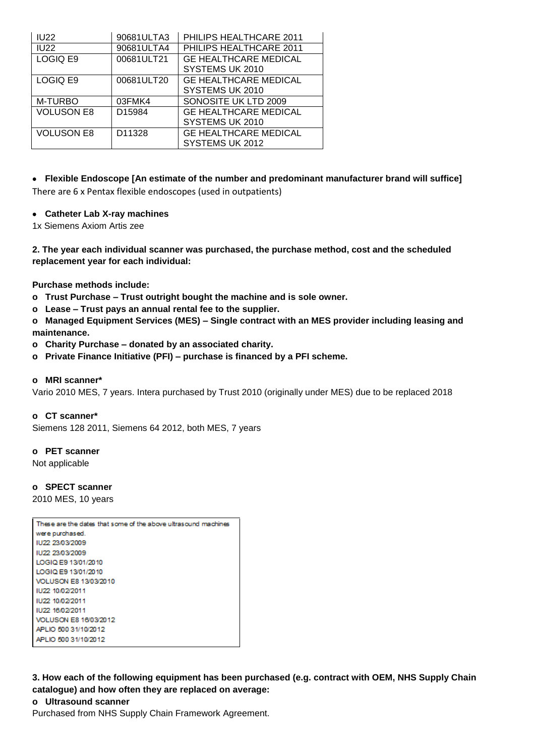| <b>IU22</b>       | 90681ULTA3         | PHILIPS HEALTHCARE 2011                         |
|-------------------|--------------------|-------------------------------------------------|
| <b>IU22</b>       | 90681ULTA4         | PHILIPS HEALTHCARE 2011                         |
| LOGIQ E9          | 00681ULT21         | <b>GE HEALTHCARE MEDICAL</b><br>SYSTEMS UK 2010 |
| LOGIQ E9          | 00681ULT20         | <b>GE HEALTHCARE MEDICAL</b><br>SYSTEMS UK 2010 |
| M-TURBO           | 03FMK4             | SONOSITE UK LTD 2009                            |
| <b>VOLUSON E8</b> | D <sub>15984</sub> | <b>GE HEALTHCARE MEDICAL</b><br>SYSTEMS UK 2010 |
| <b>VOLUSON E8</b> | D11328             | <b>GE HEALTHCARE MEDICAL</b><br>SYSTEMS UK 2012 |

 **Flexible Endoscope [An estimate of the number and predominant manufacturer brand will suffice]** There are 6 x Pentax flexible endoscopes (used in outpatients)

## **Catheter Lab X-ray machines**

1x Siemens Axiom Artis zee

**2. The year each individual scanner was purchased, the purchase method, cost and the scheduled replacement year for each individual:**

**Purchase methods include:**

- **o Trust Purchase – Trust outright bought the machine and is sole owner.**
- **o Lease – Trust pays an annual rental fee to the supplier.**

**o Managed Equipment Services (MES) – Single contract with an MES provider including leasing and maintenance.**

- **o Charity Purchase – donated by an associated charity.**
- **o Private Finance Initiative (PFI) – purchase is financed by a PFI scheme.**

#### **o MRI scanner\***

Vario 2010 MES, 7 years. Intera purchased by Trust 2010 (originally under MES) due to be replaced 2018

#### **o CT scanner\***

Siemens 128 2011, Siemens 64 2012, both MES, 7 years

#### **o PET scanner**

Not applicable

## **o SPECT scanner**

2010 MES, 10 years

| These are the dates that some of the above ultrasound machines |
|----------------------------------------------------------------|
| were purchased.                                                |
| 1U22-23/03/2009                                                |
| IU22 23/03/2009                                                |
| LOGIO E9 13/01/2010                                            |
| LOGIQ E9 13/01/2010                                            |
| VOLUSON E8 13/03/2010                                          |
| IU22 10/02/2011                                                |
| IU22 10/02/2011                                                |
| 1U22-16/02/2011                                                |
| VOLUSON E8 16/03/2012                                          |
| APLIO 500 31/10/2012                                           |
| APLIO 500 31/10/2012                                           |

**3. How each of the following equipment has been purchased (e.g. contract with OEM, NHS Supply Chain catalogue) and how often they are replaced on average:**

## **o Ultrasound scanner**

Purchased from NHS Supply Chain Framework Agreement.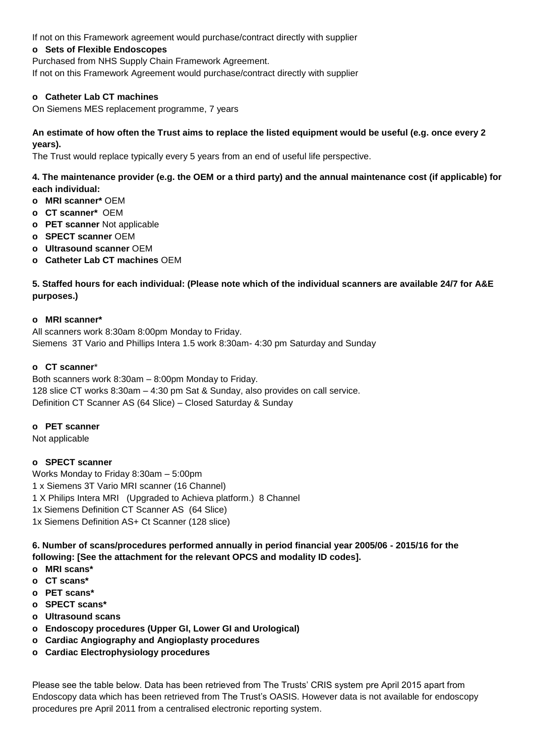If not on this Framework agreement would purchase/contract directly with supplier

## **o Sets of Flexible Endoscopes**

Purchased from NHS Supply Chain Framework Agreement.

If not on this Framework Agreement would purchase/contract directly with supplier

## **o Catheter Lab CT machines**

On Siemens MES replacement programme, 7 years

## **An estimate of how often the Trust aims to replace the listed equipment would be useful (e.g. once every 2 years).**

The Trust would replace typically every 5 years from an end of useful life perspective.

# **4. The maintenance provider (e.g. the OEM or a third party) and the annual maintenance cost (if applicable) for each individual:**

- **o MRI scanner\*** OEM
- **o CT scanner\*** OEM
- **o PET scanner** Not applicable
- **o SPECT scanner** OEM
- **o Ultrasound scanner** OEM
- **o Catheter Lab CT machines** OEM

# **5. Staffed hours for each individual: (Please note which of the individual scanners are available 24/7 for A&E purposes.)**

## **o MRI scanner\***

All scanners work 8:30am 8:00pm Monday to Friday. Siemens 3T Vario and Phillips Intera 1.5 work 8:30am- 4:30 pm Saturday and Sunday

## **o CT scanner**\*

Both scanners work 8:30am – 8:00pm Monday to Friday. 128 slice CT works 8:30am – 4:30 pm Sat & Sunday, also provides on call service. Definition CT Scanner AS (64 Slice) – Closed Saturday & Sunday

## **o PET scanner**

Not applicable

## **o SPECT scanner**

Works Monday to Friday 8:30am – 5:00pm 1 x Siemens 3T Vario MRI scanner (16 Channel) 1 X Philips Intera MRI (Upgraded to Achieva platform.) 8 Channel 1x Siemens Definition CT Scanner AS (64 Slice) 1x Siemens Definition AS+ Ct Scanner (128 slice)

**6. Number of scans/procedures performed annually in period financial year 2005/06 - 2015/16 for the following: [See the attachment for the relevant OPCS and modality ID codes].**

- **o MRI scans\***
- **o CT scans\***
- **o PET scans\***
- **o SPECT scans\***
- **o Ultrasound scans**
- **o Endoscopy procedures (Upper GI, Lower GI and Urological)**
- **o Cardiac Angiography and Angioplasty procedures**
- **o Cardiac Electrophysiology procedures**

Please see the table below. Data has been retrieved from The Trusts' CRIS system pre April 2015 apart from Endoscopy data which has been retrieved from The Trust's OASIS. However data is not available for endoscopy procedures pre April 2011 from a centralised electronic reporting system.